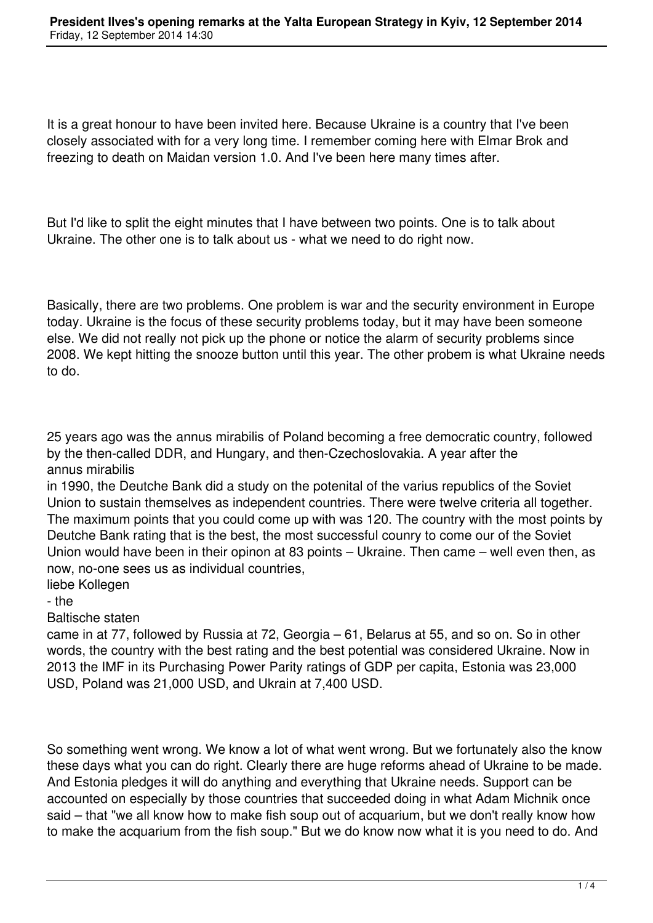It is a great honour to have been invited here. Because Ukraine is a country that I've been closely associated with for a very long time. I remember coming here with Elmar Brok and freezing to death on Maidan version 1.0. And I've been here many times after.

But I'd like to split the eight minutes that I have between two points. One is to talk about Ukraine. The other one is to talk about us - what we need to do right now.

Basically, there are two problems. One problem is war and the security environment in Europe today. Ukraine is the focus of these security problems today, but it may have been someone else. We did not really not pick up the phone or notice the alarm of security problems since 2008. We kept hitting the snooze button until this year. The other probem is what Ukraine needs to do.

25 years ago was the annus mirabilis of Poland becoming a free democratic country, followed by the then-called DDR, and Hungary, and then-Czechoslovakia. A year after the annus mirabilis

in 1990, the Deutche Bank did a study on the potenital of the varius republics of the Soviet Union to sustain themselves as independent countries. There were twelve criteria all together. The maximum points that you could come up with was 120. The country with the most points by Deutche Bank rating that is the best, the most successful counry to come our of the Soviet Union would have been in their opinon at 83 points – Ukraine. Then came – well even then, as now, no-one sees us as individual countries,

liebe Kollegen

- the

Baltische staten

came in at 77, followed by Russia at 72, Georgia – 61, Belarus at 55, and so on. So in other words, the country with the best rating and the best potential was considered Ukraine. Now in 2013 the IMF in its Purchasing Power Parity ratings of GDP per capita, Estonia was 23,000 USD, Poland was 21,000 USD, and Ukrain at 7,400 USD.

So something went wrong. We know a lot of what went wrong. But we fortunately also the know these days what you can do right. Clearly there are huge reforms ahead of Ukraine to be made. And Estonia pledges it will do anything and everything that Ukraine needs. Support can be accounted on especially by those countries that succeeded doing in what Adam Michnik once said – that "we all know how to make fish soup out of acquarium, but we don't really know how to make the acquarium from the fish soup." But we do know now what it is you need to do. And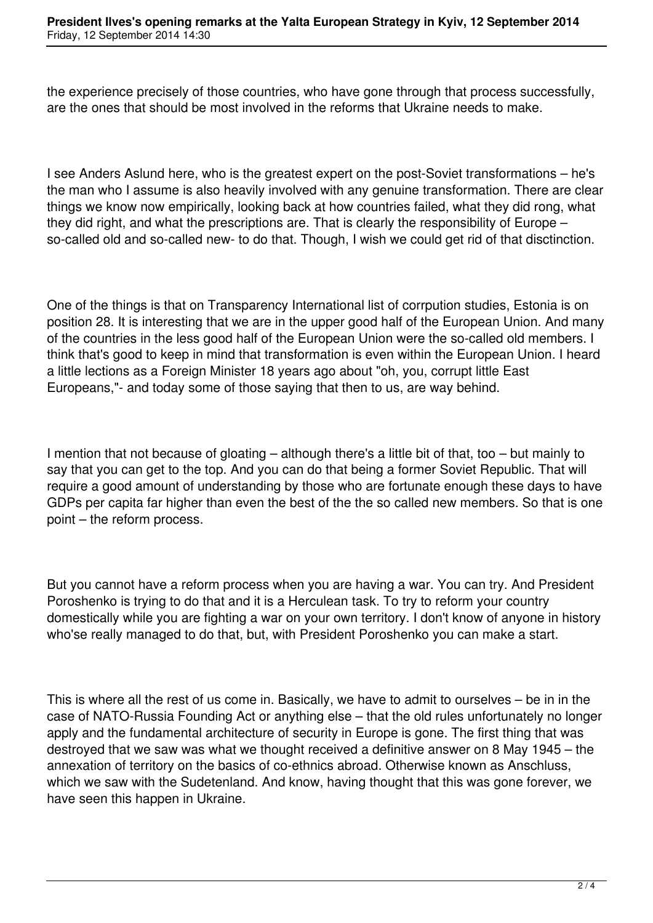the experience precisely of those countries, who have gone through that process successfully, are the ones that should be most involved in the reforms that Ukraine needs to make.

I see Anders Aslund here, who is the greatest expert on the post-Soviet transformations – he's the man who I assume is also heavily involved with any genuine transformation. There are clear things we know now empirically, looking back at how countries failed, what they did rong, what they did right, and what the prescriptions are. That is clearly the responsibility of Europe – so-called old and so-called new- to do that. Though, I wish we could get rid of that disctinction.

One of the things is that on Transparency International list of corrpution studies, Estonia is on position 28. It is interesting that we are in the upper good half of the European Union. And many of the countries in the less good half of the European Union were the so-called old members. I think that's good to keep in mind that transformation is even within the European Union. I heard a little lections as a Foreign Minister 18 years ago about "oh, you, corrupt little East Europeans,"- and today some of those saying that then to us, are way behind.

I mention that not because of gloating – although there's a little bit of that, too – but mainly to say that you can get to the top. And you can do that being a former Soviet Republic. That will require a good amount of understanding by those who are fortunate enough these days to have GDPs per capita far higher than even the best of the the so called new members. So that is one point – the reform process.

But you cannot have a reform process when you are having a war. You can try. And President Poroshenko is trying to do that and it is a Herculean task. To try to reform your country domestically while you are fighting a war on your own territory. I don't know of anyone in history who'se really managed to do that, but, with President Poroshenko you can make a start.

This is where all the rest of us come in. Basically, we have to admit to ourselves – be in in the case of NATO-Russia Founding Act or anything else – that the old rules unfortunately no longer apply and the fundamental architecture of security in Europe is gone. The first thing that was destroyed that we saw was what we thought received a definitive answer on 8 May 1945 – the annexation of territory on the basics of co-ethnics abroad. Otherwise known as Anschluss, which we saw with the Sudetenland. And know, having thought that this was gone forever, we have seen this happen in Ukraine.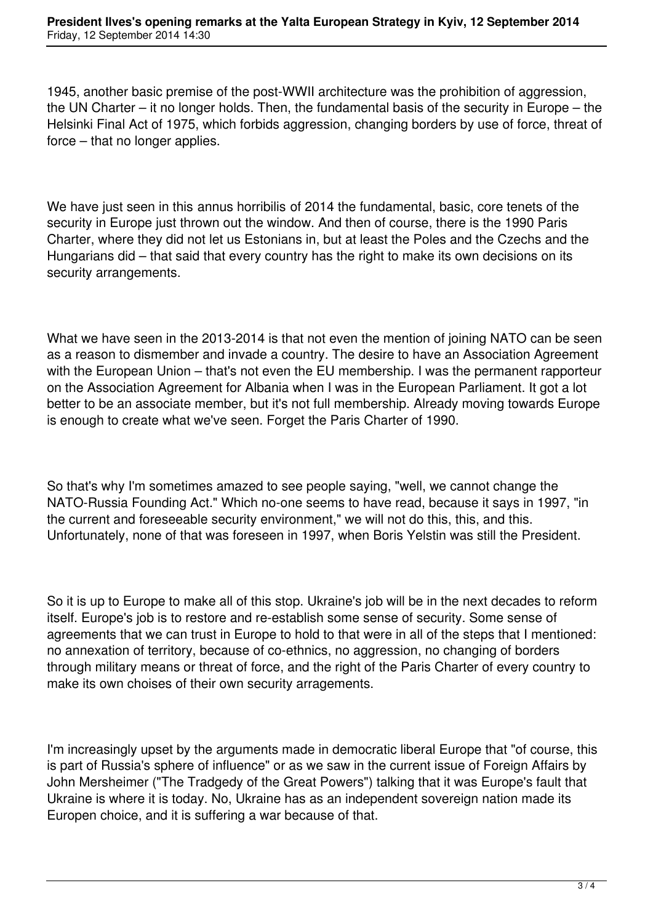1945, another basic premise of the post-WWII architecture was the prohibition of aggression, the UN Charter – it no longer holds. Then, the fundamental basis of the security in Europe – the Helsinki Final Act of 1975, which forbids aggression, changing borders by use of force, threat of force – that no longer applies.

We have just seen in this annus horribilis of 2014 the fundamental, basic, core tenets of the security in Europe just thrown out the window. And then of course, there is the 1990 Paris Charter, where they did not let us Estonians in, but at least the Poles and the Czechs and the Hungarians did – that said that every country has the right to make its own decisions on its security arrangements.

What we have seen in the 2013-2014 is that not even the mention of joining NATO can be seen as a reason to dismember and invade a country. The desire to have an Association Agreement with the European Union – that's not even the EU membership. I was the permanent rapporteur on the Association Agreement for Albania when I was in the European Parliament. It got a lot better to be an associate member, but it's not full membership. Already moving towards Europe is enough to create what we've seen. Forget the Paris Charter of 1990.

So that's why I'm sometimes amazed to see people saying, "well, we cannot change the NATO-Russia Founding Act." Which no-one seems to have read, because it says in 1997, "in the current and foreseeable security environment," we will not do this, this, and this. Unfortunately, none of that was foreseen in 1997, when Boris Yelstin was still the President.

So it is up to Europe to make all of this stop. Ukraine's job will be in the next decades to reform itself. Europe's job is to restore and re-establish some sense of security. Some sense of agreements that we can trust in Europe to hold to that were in all of the steps that I mentioned: no annexation of territory, because of co-ethnics, no aggression, no changing of borders through military means or threat of force, and the right of the Paris Charter of every country to make its own choises of their own security arragements.

I'm increasingly upset by the arguments made in democratic liberal Europe that "of course, this is part of Russia's sphere of influence" or as we saw in the current issue of Foreign Affairs by John Mersheimer ("The Tradgedy of the Great Powers") talking that it was Europe's fault that Ukraine is where it is today. No, Ukraine has as an independent sovereign nation made its Europen choice, and it is suffering a war because of that.